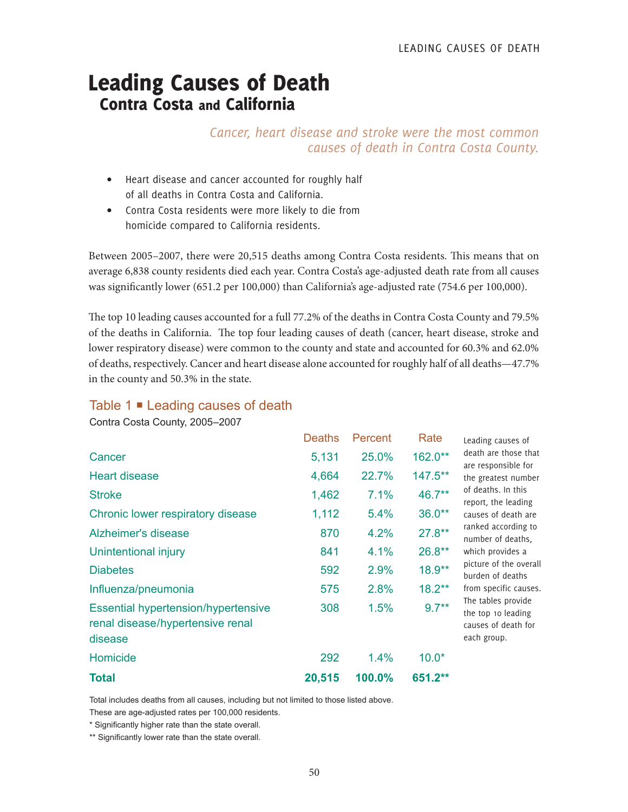## Leading Causes of Death Contra Costa and California

*Cancer, heart disease and stroke were the most common causes of death in Contra Costa County.*

- Heart disease and cancer accounted for roughly half of all deaths in Contra Costa and California.
- Contra Costa residents were more likely to die from homicide compared to California residents.

Between 2005–2007, there were 20,515 deaths among Contra Costa residents. This means that on average 6,838 county residents died each year. Contra Costa's age-adjusted death rate from all causes was significantly lower (651.2 per 100,000) than California's age-adjusted rate (754.6 per 100,000).

The top 10 leading causes accounted for a full 77.2% of the deaths in Contra Costa County and 79.5% of the deaths in California. The top four leading causes of death (cancer, heart disease, stroke and lower respiratory disease) were common to the county and state and accounted for 60.3% and 62.0% of deaths, respectively. Cancer and heart disease alone accounted for roughly half of all deaths—47.7% in the county and 50.3% in the state.

## Table 1 **■** Leading causes of death

Contra Costa County, 2005–2007

|                                                                                           | <b>Deaths</b> | Percent | Rate      |  |
|-------------------------------------------------------------------------------------------|---------------|---------|-----------|--|
| Cancer                                                                                    | 5,131         | 25.0%   | 162.0**   |  |
| <b>Heart disease</b>                                                                      | 4,664         | 22.7%   | 147.5**   |  |
| <b>Stroke</b>                                                                             | 1,462         | 7.1%    | 46.7**    |  |
| Chronic lower respiratory disease                                                         | 1,112         | 5.4%    | $36.0**$  |  |
| Alzheimer's disease                                                                       | 870           | 4.2%    | $27.8**$  |  |
| Unintentional injury                                                                      | 841           | 4.1%    | $26.8**$  |  |
| <b>Diabetes</b>                                                                           | 592           | 2.9%    | 18.9**    |  |
| Influenza/pneumonia                                                                       | 575           | 2.8%    | $18.2***$ |  |
| <b>Essential hypertension/hypertensive</b><br>renal disease/hypertensive renal<br>disease | 308           | 1.5%    | $9.7***$  |  |
| Homicide                                                                                  | 292           | $1.4\%$ | $10.0*$   |  |
| <b>Total</b>                                                                              | 20,515        | 100.0%  | 651.2**   |  |

Leading causes of death are those that are responsible for the greatest number of deaths. In this report, the leading causes of death are ranked according to number of deaths, which provides a picture of the overall burden of deaths from specific causes. The tables provide the top 10 leading causes of death for each group.

Total includes deaths from all causes, including but not limited to those listed above.

These are age-adjusted rates per 100,000 residents.

\* Significantly higher rate than the state overall.

\*\* Significantly lower rate than the state overall.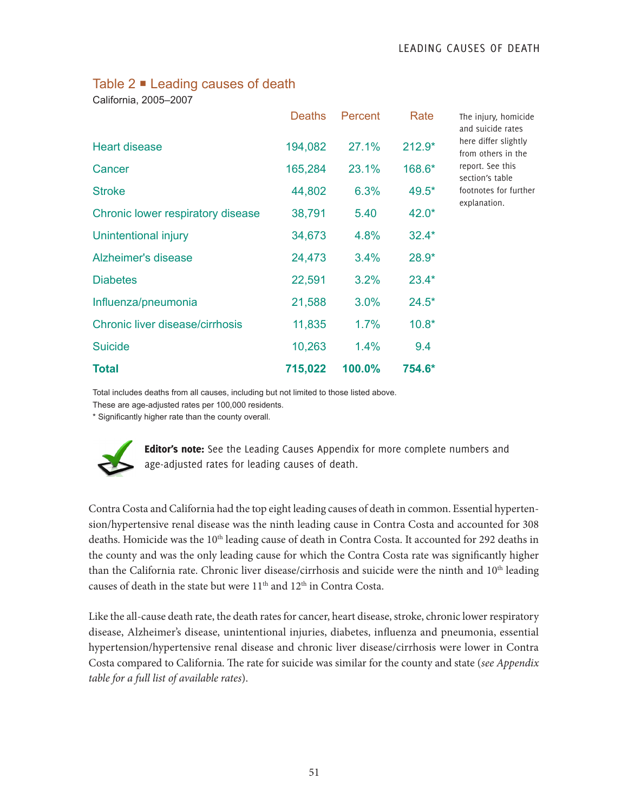## Table 2 ■ Leading causes of death

California, 2005–2007

|                                   | <b>Deaths</b> | Percent | Rate     | Τ<br>a  |
|-----------------------------------|---------------|---------|----------|---------|
| <b>Heart disease</b>              | 194,082       | 27.1%   | $212.9*$ | h<br>fı |
| Cancer                            | 165,284       | 23.1%   | 168.6*   | r<br>S  |
| <b>Stroke</b>                     | 44,802        | 6.3%    | 49.5*    | f       |
| Chronic lower respiratory disease | 38,791        | 5.40    | $42.0*$  | e       |
| Unintentional injury              | 34,673        | 4.8%    | $32.4*$  |         |
| Alzheimer's disease               | 24,473        | 3.4%    | $28.9*$  |         |
| <b>Diabetes</b>                   | 22,591        | 3.2%    | $23.4*$  |         |
| Influenza/pneumonia               | 21,588        | 3.0%    | $24.5*$  |         |
| Chronic liver disease/cirrhosis   | 11,835        | 1.7%    | $10.8*$  |         |
| <b>Suicide</b>                    | 10,263        | 1.4%    | 9.4      |         |
| <b>Total</b>                      | 715,022       | 100.0%  | 754.6*   |         |

he injury, homicide and suicide rates here differ slightly rom others in the eport. See this ection's table ootnotes for further xplanation.

Total includes deaths from all causes, including but not limited to those listed above.

These are age-adjusted rates per 100,000 residents.

\* Significantly higher rate than the county overall.



Editor's note: See the Leading Causes Appendix for more complete numbers and age-adjusted rates for leading causes of death.

Contra Costa and California had the top eight leading causes of death in common. Essential hypertension/hypertensive renal disease was the ninth leading cause in Contra Costa and accounted for 308 deaths. Homicide was the 10<sup>th</sup> leading cause of death in Contra Costa. It accounted for 292 deaths in the county and was the only leading cause for which the Contra Costa rate was significantly higher than the California rate. Chronic liver disease/cirrhosis and suicide were the ninth and 10<sup>th</sup> leading causes of death in the state but were 11<sup>th</sup> and 12<sup>th</sup> in Contra Costa.

Like the all-cause death rate, the death rates for cancer, heart disease, stroke, chronic lower respiratory disease, Alzheimer's disease, unintentional injuries, diabetes, influenza and pneumonia, essential hypertension/hypertensive renal disease and chronic liver disease/cirrhosis were lower in Contra Costa compared to California. The rate for suicide was similar for the county and state (*see Appendix table for a full list of available rates*).